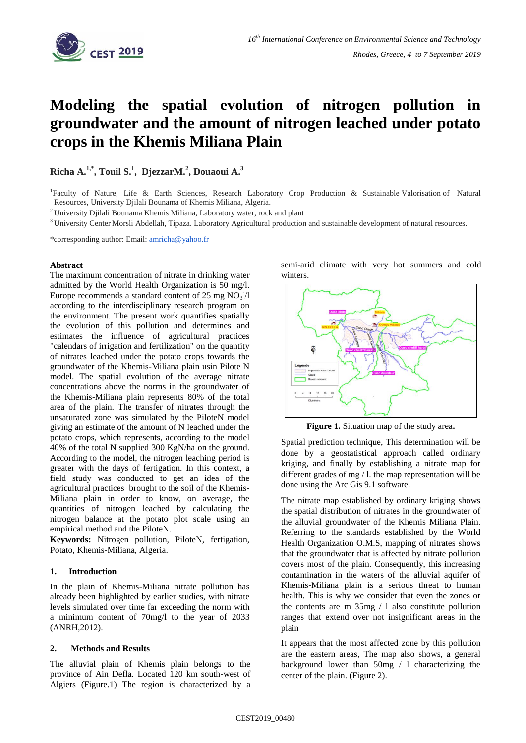

# **Modeling the spatial evolution of nitrogen pollution in groundwater and the amount of nitrogen leached under potato crops in the Khemis Miliana Plain**

**Richa A.1,\*, Touil S.<sup>1</sup> , DjezzarM.<sup>2</sup> , Douaoui A.<sup>3</sup>**

<sup>1</sup>Faculty of Nature, Life & Earth Sciences, Research Laboratory Crop Production & Sustainable Valorisation of Natural Resources, University Djilali Bounama of Khemis Miliana, Algeria.

<sup>2</sup> University Djilali Bounama Khemis Miliana, Laboratory water, rock and plant

<sup>3</sup> University Center Morsli Abdellah, Tipaza. Laboratory Agricultural production and sustainable development of natural resources.

\*corresponding author: Email: [amricha@yahoo.fr](mailto:amricha@yahoo.fr)

#### **Abstract**

The maximum concentration of nitrate in drinking water admitted by the World Health Organization is 50 mg/l. Europe recommends a standard content of 25 mg  $NO<sub>3</sub>/l$ according to the interdisciplinary research program on the environment. The present work quantifies spatially the evolution of this pollution and determines and estimates the influence of agricultural practices "calendars of irrigation and fertilization" on the quantity of nitrates leached under the potato crops towards the groundwater of the Khemis-Miliana plain usin Pilote N model. The spatial evolution of the average nitrate concentrations above the norms in the groundwater of the Khemis-Miliana plain represents 80% of the total area of the plain. The transfer of nitrates through the unsaturated zone was simulated by the PiloteN model giving an estimate of the amount of N leached under the potato crops, which represents, according to the model 40% of the total N supplied 300 KgN/ha on the ground. According to the model, the nitrogen leaching period is greater with the days of fertigation. In this context, a field study was conducted to get an idea of the agricultural practices brought to the soil of the Khemis**-**Miliana plain in order to know, on average, the quantities of nitrogen leached by calculating the nitrogen balance at the potato plot scale using an empirical method and the PiloteN.

**Keywords:** Nitrogen pollution, PiloteN, fertigation, Potato, Khemis-Miliana, Algeria.

## **1. Introduction**

In the plain of Khemis-Miliana nitrate pollution has already been highlighted by earlier studies, with nitrate levels simulated over time far exceeding the norm with a minimum content of 70mg/l to the year of 2033 (ANRH,2012).

## **2. Methods and Results**

The alluvial plain of Khemis plain belongs to the province of Ain Defla. Located 120 km south-west of Algiers (Figure.1) The region is characterized by a semi-arid climate with very hot summers and cold winters.



**Figure 1.** Situation map of the study area**.**

Spatial prediction technique, This determination will be done by a geostatistical approach called ordinary kriging, and finally by establishing a nitrate map for different grades of mg / l. the map representation will be done using the Arc Gis 9.1 software.

The nitrate map established by ordinary kriging shows the spatial distribution of nitrates in the groundwater of the alluvial groundwater of the Khemis Miliana Plain. Referring to the standards established by the World Health Organization O.M.S, mapping of nitrates shows that the groundwater that is affected by nitrate pollution covers most of the plain. Consequently, this increasing contamination in the waters of the alluvial aquifer of Khemis-Miliana plain is a serious threat to human health. This is why we consider that even the zones or the contents are m 35mg / l also constitute pollution ranges that extend over not insignificant areas in the plain

It appears that the most affected zone by this pollution are the eastern areas, The map also shows, a general background lower than 50mg / l characterizing the center of the plain. (Figure 2).